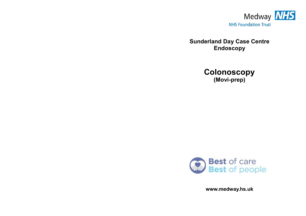

**Sunderland Day Case Centre Endoscopy** 





**www.medway.hs.uk**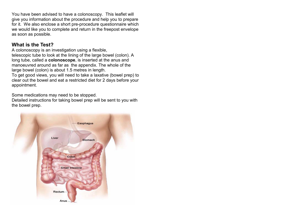You have been advised to have a colonoscopy. This leaflet will give you information about the procedure and help you to prepare for it. We also enclose a short pre-procedure questionnaire which we would like you to complete and return in the freepost envelope as soon as possible.

#### **What is the Test?**

A colonoscopy is an investigation using a flexible, telescopic tube to look at the lining of the large bowel (colon). A long tube, called a **colonoscope**, is inserted at the anus and manoeuvred around as far as the appendix. The whole of the large bowel (colon) is about 1.5 metres in length.

To get good views, you will need to take a laxative (bowel prep) to clear out the bowel and eat a restricted diet for 2 days before your appointment.

Some medications may need to be stopped.

Detailed instructions for taking bowel prep will be sent to you with the bowel prep.

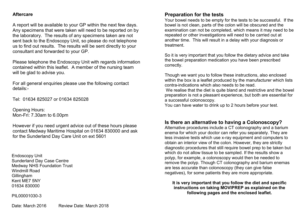#### **Aftercare**

A report will be available to your GP within the next few days. Any specimens that were taken will need to be reported on by the laboratory. The results of any specimens taken are not sent back to the Endoscopy Unit, so please do not telephone us to find out results. The results will be sent directly to your consultant and forwarded to your GP.

Please telephone the Endoscopy Unit with regards information contained within this leaflet. A member of the nursing team will be glad to advise you.

For all general enquiries please use the following contact details:-

Tel: 01634 825027 or 01634 825028

Opening Hours: Mon-Fri: 7.30am to 6.00pm

However if you need urgent advice out of these hours please contact Medway Maritime Hospital on 01634 830000 and ask for the Sunderland Day Care Unit on ext 5601

Endoscopy Unit Sunderland Day Case Centre Medway NHS Foundation Trust Windmill Road Gillingham Kent ME7 5NY 01634 830000

PIL00001030-3

#### **Preparation for the tests**

Your bowel needs to be empty for the tests to be successful. If the bowel is not clean, parts of the colon will be obscured and the examination can not be completed, which means it may need to be repeated or other investigations will need to be carried out at another time. This will result in a delay with your diagnosis or treatment.

So it is very important that you follow the dietary advice and take the bowel preparation medication you have been prescribed correctly.

Though we want you to follow these instructions, also enclosed within the box is a leaflet produced by the manufacturer which lists contra-indications which also needs to be read.

We realise that the diet is quite bland and restrictive and the bowel preparation is not a pleasant experience, but both are essential for a successful colonoscopy.

You can have water to drink up to 2 hours before your test.

#### **Is there an alternative to having a Colonoscopy?**

Alternative procedures include a CT colonography and a barium enema for which your doctor can refer you separately. They are less invasive tests which use x-ray equipment and computers to obtain an interior view of the colon. However, they are strictly diagnostic procedures that still require bowel prep to be taken but which do not allow tissue to be sampled. If the results show a polyp, for example, a colonoscopy would then be needed to remove the polyp. Though CT colonography and barium enemas are less accurate than colonoscopy (they can give false negatives), for some patients they are more appropriate.

#### **It is very important that you follow the diet and specific instructions on taking MOVIPREP as explained on the following pages and the enclosed leaflet.**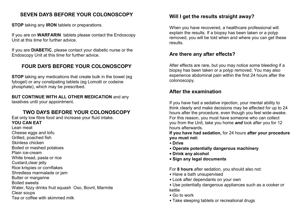## **SEVEN DAYS BEFORE YOUR COLONOSCOPY**

**STOP** taking any **IRON** tablets or preparations.

If you are on **WARFARIN** tablets please contact the Endoscopy Unit at this time for further advice.

If you are **DIABETIC**, please contact your diabetic nurse or the Endoscopy Unit at this time for further advice.

# **FOUR DAYS BEFORE YOUR COLONOSCOPY**

**STOP** taking any medications that create bulk in the bowel (eg fybogel) or any constipating tablets (eg Lomotil or codeine phosphate), which may be prescribed.

**BUT CONTINUE WITH ALL OTHER MEDICATION** and any laxatives until your appointment.

## **TWO DAYS BEFORE YOUR COLONOSCOPY**

Eat only low fibre food and increase your fluid intake.

#### **YOU CAN EAT**

Lean meat Cheese eggs and tofu Grilled, poached fish Skinless chicken Boiled or mashed potatoes Plain ice-cream White bread, pasta or rice Custard,clear jelly Rice krispies or cornflakes Shredless marmalade or jam Butter or margarine Boiled sweets Water, fizzy drinks fruit squash Oxo, Bovril, Marmite Clear soups Tea or coffee with skimmed milk

## **Will I get the results straight away?**

When you have recovered, a healthcare professional will explain the results. If a biopsy has been taken or a polyp removed, you will be told when and where you can get these results.

#### **Are there any after effects?**

After effects are rare, but you may notice some bleeding if a biopsy has been taken or a polyp removed. You may also experience abdominal pain within the first 24 hours after the colonoscopy.

## **After the examination**

If you have had a sedative injection, your mental ability to think clearly and make decisions may be affected for up to 24 hours after the procedure, even though you feel wide-awake. For this reason, you must have someone who can collect you from the Unit, take you home *and* look after you for 12 hours afterwards.

**If you have had sedation,** for 24 hours **after your procedure you must not:**

- **Drive**
- **Operate potentially dangerous machinery**
- **Drink any alcohol**
- **Sign any legal documents**

For **8 hours** after sedation, you should also not:

- Have a bath unsupervised
- Look after dependants on your own
- Use potentially dangerous appliances such as a cooker or kettle
- Go to work
- Take sleeping tablets or recreational drugs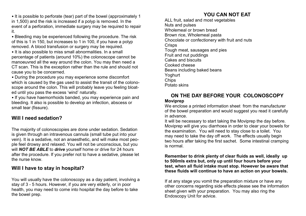• It is possible to perforate (tear) part of the bowel (approximately 1 in 1,500) and the risk is increased if a polyp is removed. In the event of a perforation, immediate surgery may be required to repair it.

• Bleeding may be experienced following the procedure. The risk of this is 1 in 150, but increases to 1 in 100, if you have a polyp removed. A blood transfusion or surgery may be required. • It is also possible to miss small abnormalities. In a small percentage of patients (around 10%) the colonoscope cannot be manoeuvred all the way around the colon. You may then need a CT scan. This is the exception rather than the rule and should not cause you to be concerned.

• During the procedure you may experience some discomfort which is caused by the gas used to assist the transit of the colonoscope around the colon. This will probably leave you feeling bloated until you pass the excess 'wind' naturally.

• If you have haemorrhoids banded, you may experience pain and bleeding. It also is possible to develop an infection, abscess or small tear (fissure).

## **Will I need sedation?**

The majority of colonoscopies are done under sedation. Sedation is given through an intravenous cannula (small tube put into your vein). It is a sedative, not an anaesthetic, and will make most people feel drowsy and relaxed. You will not be unconscious, but you will *NOT BE ABLE* to *drive* yourself home or drive for 24 hours after the procedure. If you prefer not to have a sedative, please let the nurse know.

#### **Will I have to stay in hospital?**

You will usually have the colonoscopy as a day patient, involving a stay of 3 - 5 hours. However, if you are very elderly, or in poor health, you may need to come into hospital the day before to take the bowel prep.

# **YOU CAN NOT EAT**

ALL fruit, salad and most vegetables Nuts and pulses Wholemeal or brown bread Brown rice, Wholemeal pasta Chocolate or confectionery with fruit and nuts **Crisps** Tough meat, sausages and pies Fruit and nut puddings Cakes and biscuits Cooked cheese Beans including baked beans Yoghurt **Chips** Potato skins

#### **ON THE DAY BEFORE YOUR COLONOSCOPY Moviprep**

We enclose a printed information sheet from the manufacturer of the bowel preparation and would suggest you read it carefully in advance.

It will be necessary to start taking the Moviprep the day before. Moviprep will give you diarrhoea in order to clear your bowels for the examination. You will need to stay close to a toilet. You may need to take the day off work. The effects usually begin two hours after taking the first sachet. Some intestinal cramping is normal.

**Remember to drink plenty of clear fluids as well, ideally up to 500mls extra but, only up until four hours before your test, when all fluid intake must stop. However be aware that these fluids will continue to have an action on your bowels.**

If at any stage you vomit the preparation mixture or have any other concerns regarding side effects please see the information sheet given with your preparation. You may also ring the Endoscopy Unit for advice.